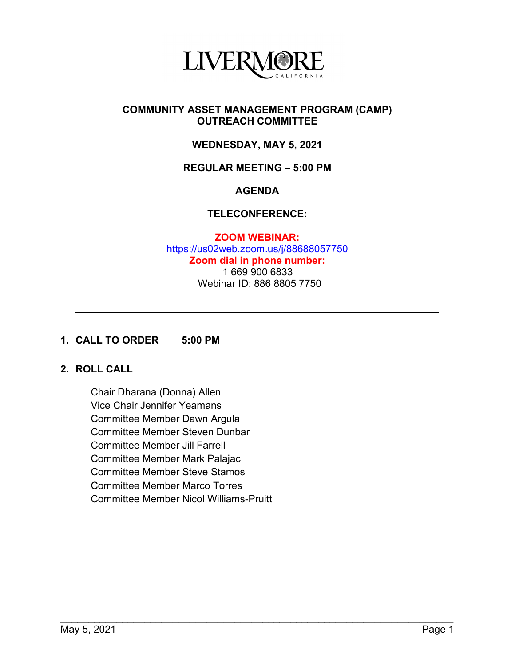

## **COMMUNITY ASSET MANAGEMENT PROGRAM (CAMP) OUTREACH COMMITTEE**

# **WEDNESDAY, MAY 5, 2021**

## **REGULAR MEETING – 5:00 PM**

## **AGENDA**

## **TELECONFERENCE:**

**ZOOM WEBINAR:** <https://us02web.zoom.us/j/88688057750> **Zoom dial in phone number:** 1 669 900 6833 Webinar ID: 886 8805 7750

\_\_\_\_\_\_\_\_\_\_\_\_\_\_\_\_\_\_\_\_\_\_\_\_\_\_\_\_\_\_\_\_\_\_\_\_\_\_\_\_\_\_\_\_\_\_\_\_\_\_\_\_\_\_\_\_\_\_\_\_\_\_\_\_\_\_\_\_\_\_

#### **1. CALL TO ORDER 5:00 PM**

# **2. ROLL CALL**

Chair Dharana (Donna) Allen Vice Chair Jennifer Yeamans Committee Member Dawn Argula Committee Member Steven Dunbar Committee Member Jill Farrell Committee Member Mark Palajac Committee Member Steve Stamos Committee Member Marco Torres Committee Member Nicol Williams-Pruitt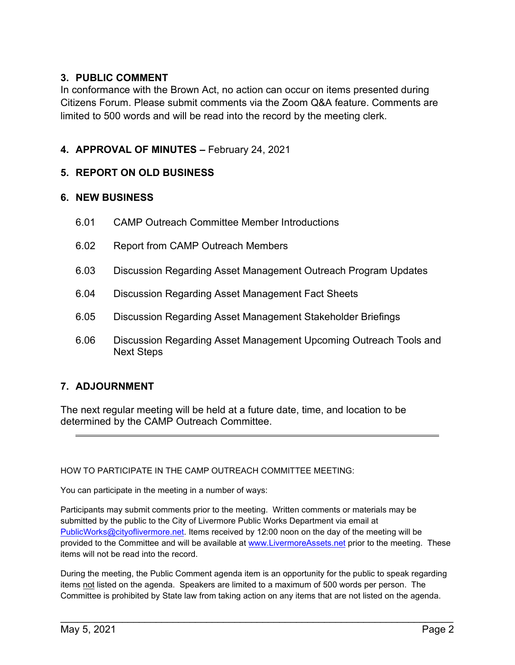# **3. PUBLIC COMMENT**

In conformance with the Brown Act, no action can occur on items presented during Citizens Forum. Please submit comments via the Zoom Q&A feature. Comments are limited to 500 words and will be read into the record by the meeting clerk.

# **4. APPROVAL OF MINUTES –** February 24, 2021

# **5. REPORT ON OLD BUSINESS**

# **6. NEW BUSINESS**

- 6.01 CAMP Outreach Committee Member Introductions
- 6.02 Report from CAMP Outreach Members
- 6.03 Discussion Regarding Asset Management Outreach Program Updates
- 6.04 Discussion Regarding Asset Management Fact Sheets
- 6.05 Discussion Regarding Asset Management Stakeholder Briefings
- 6.06 Discussion Regarding Asset Management Upcoming Outreach Tools and Next Steps

# **7. ADJOURNMENT**

The next regular meeting will be held at a future date, time, and location to be determined by the CAMP Outreach Committee.

#### HOW TO PARTICIPATE IN THE CAMP OUTREACH COMMITTEE MEETING:

You can participate in the meeting in a number of ways:

Participants may submit comments prior to the meeting. Written comments or materials may be submitted by the public to the City of Livermore Public Works Department via email at [PublicWorks@cityoflivermore.net.](mailto:PublicWorks@cityoflivermore.net) Items received by 12:00 noon on the day of the meeting will be provided to the Committee and will be available at [www.LivermoreAssets.net](http://www.livermoreassets.net/) prior to the meeting. These items will not be read into the record.

During the meeting, the Public Comment agenda item is an opportunity for the public to speak regarding items not listed on the agenda. Speakers are limited to a maximum of 500 words per person. The Committee is prohibited by State law from taking action on any items that are not listed on the agenda.

\_\_\_\_\_\_\_\_\_\_\_\_\_\_\_\_\_\_\_\_\_\_\_\_\_\_\_\_\_\_\_\_\_\_\_\_\_\_\_\_\_\_\_\_\_\_\_\_\_\_\_\_\_\_\_\_\_\_\_\_\_\_\_\_\_\_\_\_\_\_